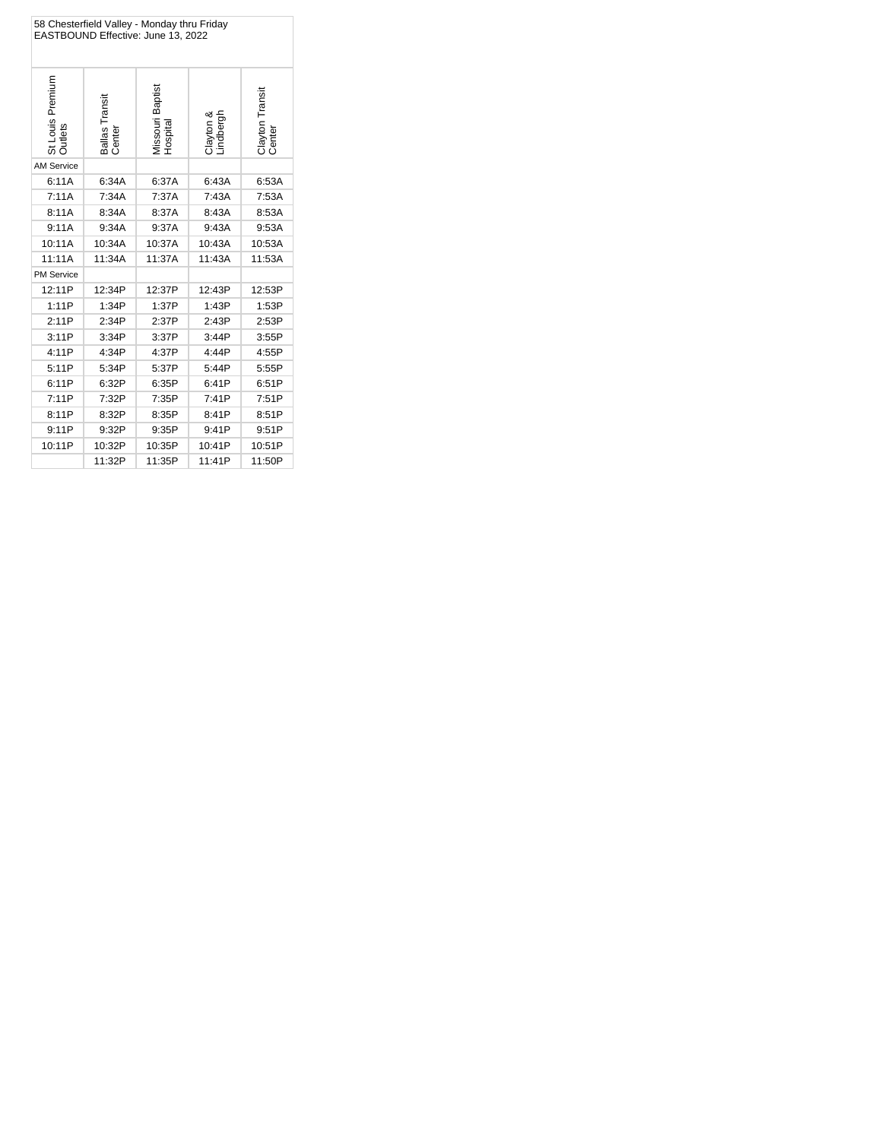| 58 Chesterfield Valley - Monday thru Friday<br>EASTBOUND Effective: June 13, 2022 |                          |                             |                        |                           |  |
|-----------------------------------------------------------------------------------|--------------------------|-----------------------------|------------------------|---------------------------|--|
| St Louis Premium<br>Outlets                                                       | Ballas Transit<br>Center | Missouri Baptist<br>Hospita | Clayton &<br>Lindbergh | Clayton Transit<br>Center |  |
| <b>AM Service</b>                                                                 |                          |                             |                        |                           |  |
| 6:11A                                                                             | 6:34A                    | 6:37A                       | 6:43A                  | 6:53A                     |  |
| 7:11A                                                                             | 7:34A                    | 7:37A                       | 7:43A                  | 7:53A                     |  |
| 8:11A                                                                             | 8:34A                    | 8:37A                       | 8:43A                  | 8:53A                     |  |
| 9:11A                                                                             | 9:34A                    | 9:37A                       | 9:43A                  | 9:53A                     |  |
| 10:11A                                                                            | 10:34A                   | 10:37A                      | 10:43A                 | 10:53A                    |  |
| 11:11A                                                                            | 11:34A                   | 11:37A                      | 11:43A                 | 11:53A                    |  |
| PM Service                                                                        |                          |                             |                        |                           |  |
| 12:11P                                                                            | 12:34P                   | 12:37P                      | 12:43P                 | 12:53P                    |  |
| 1:11P                                                                             | 1:34P                    | 1:37P                       | 1:43P                  | 1:53P                     |  |
| 2:11P                                                                             | 2:34P                    | 2:37P                       | 2:43P                  | 2:53P                     |  |
| 3:11P                                                                             | 3:34P                    | 3:37P                       | 3:44P                  | 3:55P                     |  |
| 4:11P                                                                             | 4:34P                    | 4:37P                       | 4:44P                  | 4:55P                     |  |
| 5:11P                                                                             | 5:34P                    | 5:37P                       | 5:44P                  | 5:55P                     |  |
| 6:11P                                                                             | 6:32P                    | 6:35P                       | 6:41P                  | 6:51P                     |  |
| 7:11P                                                                             | 7:32P                    | 7:35P                       | 7:41P                  | 7:51P                     |  |
| 8:11P                                                                             | 8:32P                    | 8:35P                       | 8:41P                  | 8:51P                     |  |
| 9:11P                                                                             | 9:32P                    | 9:35P                       | 9:41P                  | 9:51P                     |  |
| 10:11P                                                                            | 10:32P                   | 10:35P                      | 10:41P                 | 10:51P                    |  |
|                                                                                   | 11:32P                   | 11:35P                      | 11:41P                 | 11:50P                    |  |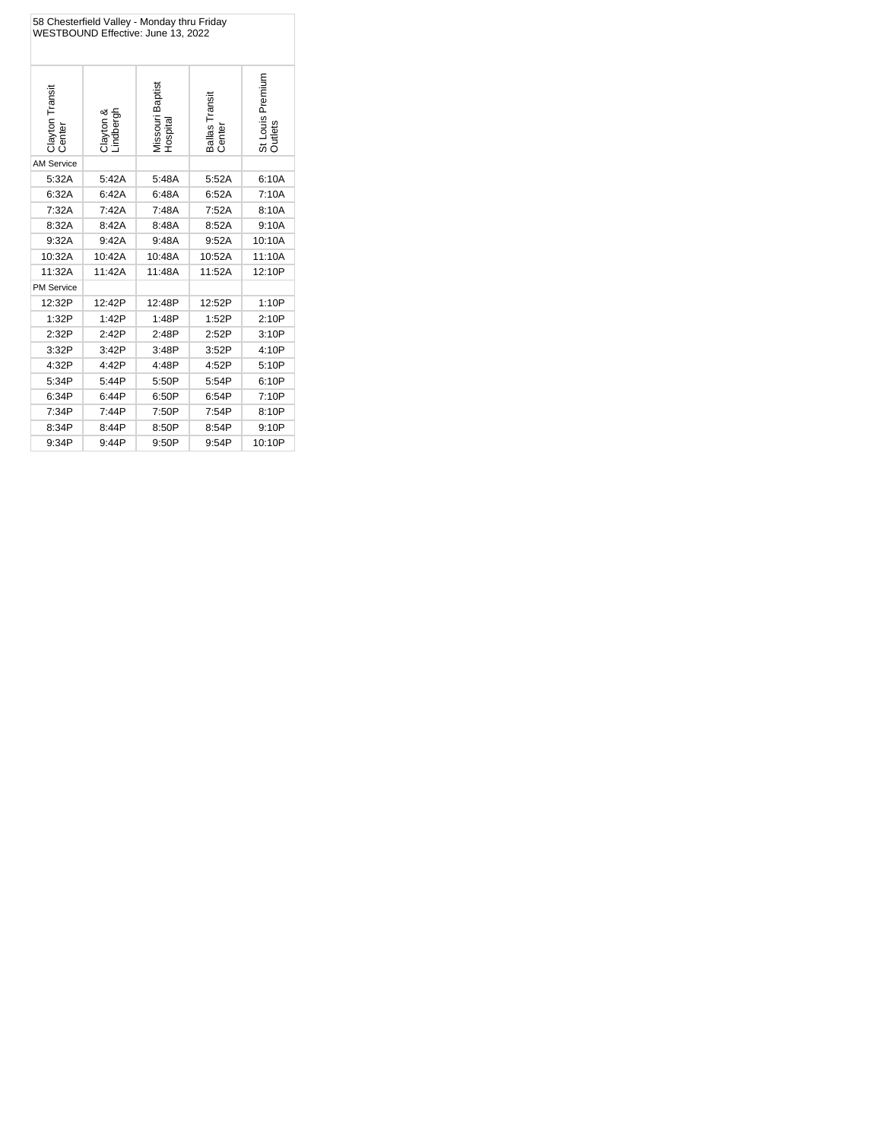| 58 Chesterfield Valley - Monday thru Friday<br>WESTBOUND Effective: June 13, 2022 |                        |                             |                         |                             |  |
|-----------------------------------------------------------------------------------|------------------------|-----------------------------|-------------------------|-----------------------------|--|
| Clayton Transit<br>Centei                                                         | Clayton &<br>Lindbergh | Vissouri Baptist<br>Hospita | Ballas Transit<br>Cente | St Louis Premium<br>Outlets |  |
| <b>AM Service</b>                                                                 |                        |                             |                         |                             |  |
| 5:32A                                                                             | 5:42A                  | 5:48A                       | 5:52A                   | 6:10A                       |  |
| 6:32A                                                                             | 6:42A                  | 6:48A                       | 6:52A                   | 7:10A                       |  |
| 7:32A                                                                             | 7:42A                  | 7:48A                       | 7:52A                   | 8:10A                       |  |
| 8:32A                                                                             | 8:42A                  | 8:48A                       | 8:52A                   | 9:10A                       |  |
| 9:32A                                                                             | 9:42A                  | 9:48A                       | 9:52A                   | 10:10A                      |  |
| 10:32A                                                                            | 10:42A                 | 10:48A                      | 10:52A                  | 11:10A                      |  |
| 11:32A                                                                            | 11:42A                 | 11:48A                      | 11:52A                  | 12:10P                      |  |
| <b>PM Service</b>                                                                 |                        |                             |                         |                             |  |
| 12:32P                                                                            | 12:42P                 | 12:48P                      | 12:52P                  | 1:10P                       |  |
| 1:32P                                                                             | 1:42P                  | 1:48P                       | 1:52P                   | 2:10P                       |  |
| 2:32P                                                                             | 2:42P                  | 2:48P                       | 2:52P                   | 3:10P                       |  |
| 3:32P                                                                             | 3:42P                  | 3:48P                       | 3:52P                   | 4:10P                       |  |
| 4:32P                                                                             | 4:42P                  | 4:48P                       | 4:52P                   | 5:10P                       |  |
| 5:34P                                                                             | 5:44P                  | 5:50P                       | 5:54P                   | 6:10P                       |  |
| 6:34P                                                                             | 6:44P                  | 6:50P                       | 6:54P                   | 7:10P                       |  |
| 7:34P                                                                             | 7:44P                  | 7:50P                       | 7:54P                   | 8:10P                       |  |
| 8:34P                                                                             | 8:44P                  | 8:50P                       | 8:54P                   | 9:10P                       |  |
| 9:34P                                                                             | 9:44P                  | 9:50P                       | 9:54P                   | 10:10P                      |  |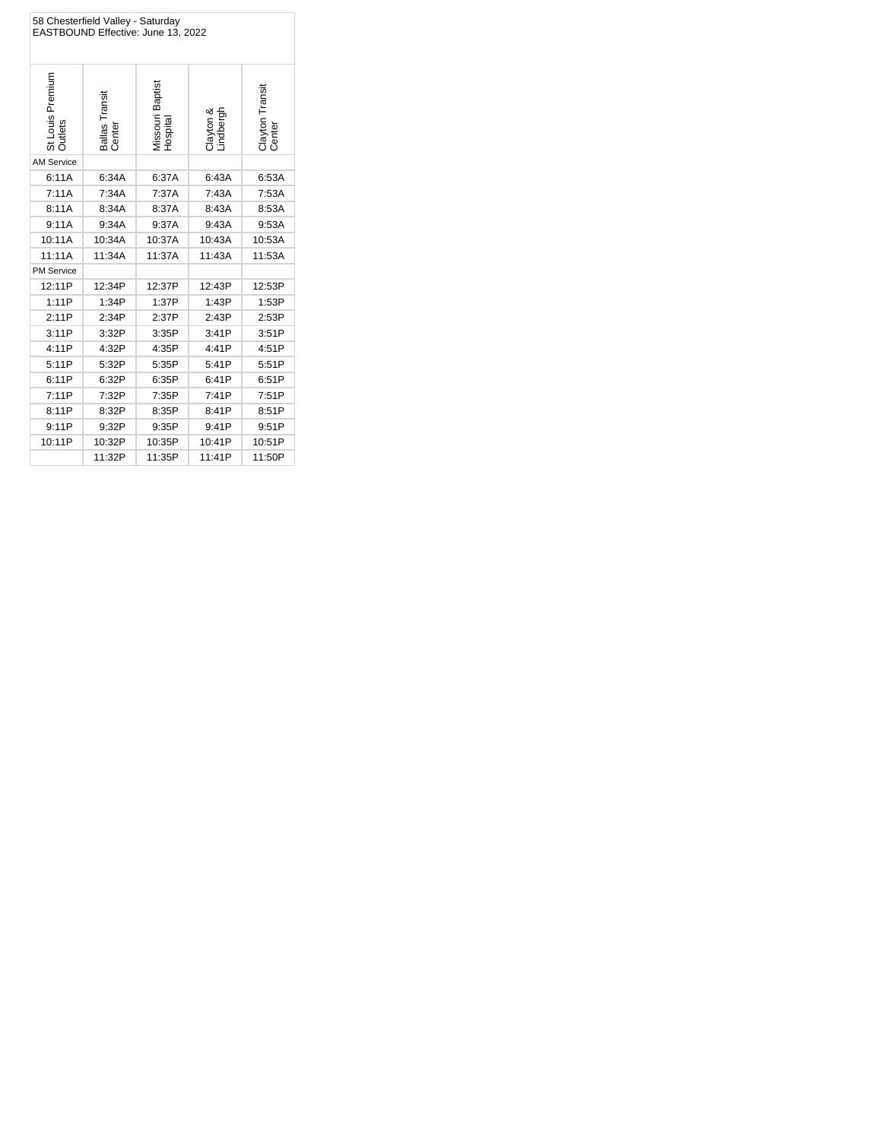| 58 Chesterfield Valley - Saturday<br>EASTBOUND Effective: June 13, 2022 |                          |                                     |                        |                           |  |
|-------------------------------------------------------------------------|--------------------------|-------------------------------------|------------------------|---------------------------|--|
| St Louis Premium<br>Outlets                                             | Ballas Transit<br>Center | Missouri Baptist<br><b>Hospital</b> | Clayton &<br>Lindbergh | Clayton Transit<br>Center |  |
| <b>AM Service</b>                                                       |                          |                                     |                        |                           |  |
| 6:11A                                                                   | 6:34A                    | 6:37A                               | 6:43A                  | 6:53A                     |  |
| 7:11A                                                                   | 7:34A                    | 7:37A                               | 7:43A                  | 7:53A                     |  |
| 8:11A                                                                   | 8:34A                    | 8:37A                               | 8:43A                  | 8:53A                     |  |
| 9:11A                                                                   | 9:34A                    | 9:37A                               | 9:43A                  | 9:53A                     |  |
| 10:11A                                                                  | 10:34A                   | 10:37A                              | 10:43A                 | 10:53A                    |  |
| 11:11A                                                                  | 11:34A                   | 11:37A                              | 11:43A                 | 11:53A                    |  |
| <b>PM Service</b>                                                       |                          |                                     |                        |                           |  |
| 12:11P                                                                  | 12:34P                   | 12:37P                              | 12:43P                 | 12:53P                    |  |
| 1:11P                                                                   | 1:34P                    | 1:37P                               | 1:43P                  | 1:53P                     |  |
| 2:11P                                                                   | 2:34P                    | 2:37P                               | 2:43P                  | 2:53P                     |  |
| 3:11P                                                                   | 3:32P                    | 3:35P                               | 3:41P                  | 3:51P                     |  |
| 4:11P                                                                   | 4:32P                    | 4:35P                               | 4:41P                  | 4:51P                     |  |
| 5:11P                                                                   | 5:32P                    | 5:35P                               | 5:41P                  | 5:51P                     |  |
| 6:11P                                                                   | 6:32P                    | 6:35P                               | 6:41P                  | 6:51P                     |  |
| 7:11P                                                                   | 7:32P                    | 7:35P                               | 7:41P                  | 7:51P                     |  |
| 8:11P                                                                   | 8:32P                    | 8:35P                               | 8:41P                  | 8:51P                     |  |
| 9:11P                                                                   | 9:32P                    | 9:35P                               | 9:41P                  | 9:51P                     |  |
| 10:11P                                                                  | 10:32P                   | 10:35P                              | 10:41P                 | 10:51P                    |  |
|                                                                         | 11:32P                   | 11:35P                              | 11:41P                 | 11:50P                    |  |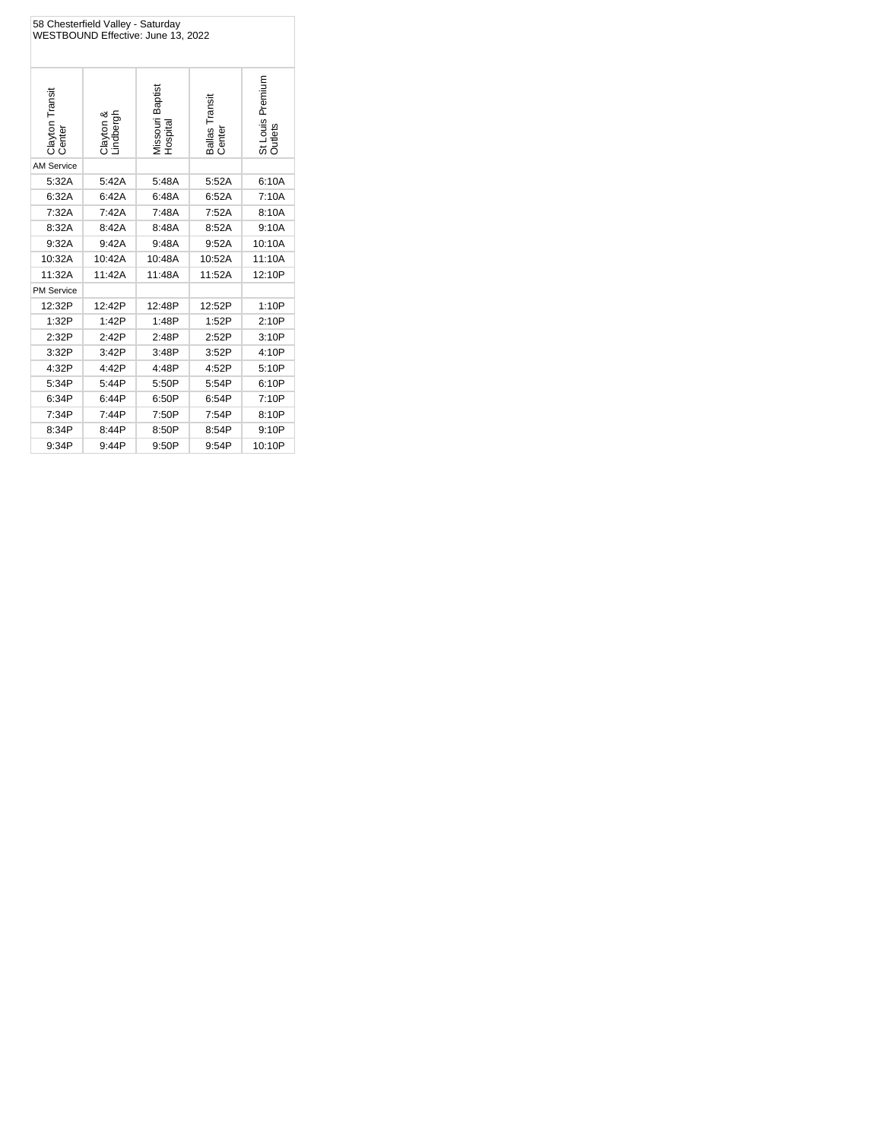| 58 Chesterfield Valley - Saturday<br>WESTBOUND Effective: June 13, 2022 |                        |                              |                          |                             |
|-------------------------------------------------------------------------|------------------------|------------------------------|--------------------------|-----------------------------|
| Clayton Transit<br>Center                                               | Clayton &<br>Lindbergh | Missouri Baptist<br>Hospital | Ballas Transit<br>Center | St Louis Premium<br>Outlets |
| <b>AM Service</b>                                                       |                        |                              |                          |                             |
| 5:32A                                                                   | 5:42A                  | 5:48A                        | 5:52A                    | 6:10A                       |
| 6:32A                                                                   | 6:42A                  | 6:48A                        | 6:52A                    | 7:10A                       |
| 7:32A                                                                   | 7:42A                  | 7:48A                        | 7:52A                    | 8:10A                       |
| 8:32A                                                                   | 8:42A                  | 8:48A                        | 8:52A                    | 9:10A                       |
| 9:32A                                                                   | 9:42A                  | 9:48A                        | 9:52A                    | 10:10A                      |
| 10:32A                                                                  | 10:42A                 | 10:48A                       | 10:52A                   | 11:10A                      |
| 11:32A                                                                  | 11:42A                 | 11:48A                       | 11:52A                   | 12:10P                      |
| <b>PM Service</b>                                                       |                        |                              |                          |                             |
| 12:32P                                                                  | 12:42P                 | 12:48P                       | 12:52P                   | 1:10P                       |
| 1:32P                                                                   | 1:42P                  | 1:48P                        | 1:52P                    | 2:10P                       |
| 2:32P                                                                   | 2:42P                  | 2:48P                        | 2:52P                    | 3:10P                       |
| 3:32P                                                                   | 3:42P                  | 3:48P                        | 3:52P                    | 4:10P                       |
| 4:32P                                                                   | 4:42P                  | 4:48P                        | 4:52P                    | 5:10P                       |
| 5:34P                                                                   | 5:44P                  | 5:50P                        | 5:54P                    | 6:10P                       |
| 6:34P                                                                   | 6:44P                  | 6:50P                        | 6:54P                    | 7:10P                       |
| 7:34P                                                                   | 7:44P                  | 7:50P                        | 7:54P                    | 8:10P                       |
| 8:34P                                                                   | 8:44P                  | 8:50P                        | 8:54P                    | 9:10P                       |
| 9:34P                                                                   | 9:44P                  | 9:50P                        | 9:54P                    | 10:10P                      |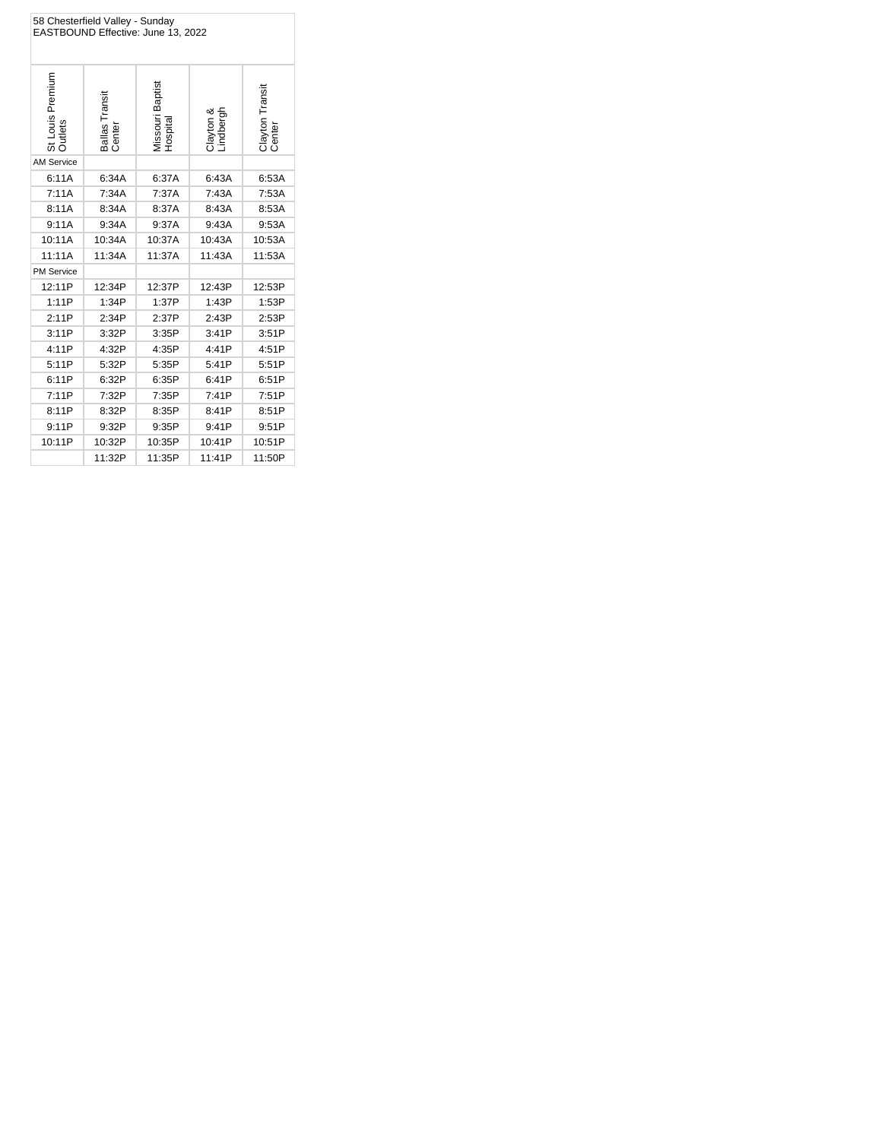| 58 Chesterfield Valley - Sunday<br>EASTBOUND Effective: June 13, 2022 |                          |                              |                        |                           |  |
|-----------------------------------------------------------------------|--------------------------|------------------------------|------------------------|---------------------------|--|
| St Louis Premium<br><b>Outlets</b>                                    | Ballas Transit<br>Center | Vissouri Baptist<br>Hospita. | Clayton &<br>Lindbergh | Clayton Transit<br>Center |  |
| <b>AM Service</b>                                                     |                          |                              |                        |                           |  |
| 6:11A                                                                 | 6:34A                    | 6:37A                        | 6:43A                  | 6:53A                     |  |
| 7:11A                                                                 | 7:34A                    | 7:37A                        | 7:43A                  | 7:53A                     |  |
| 8:11A                                                                 | 8:34A                    | 8:37A                        | 8:43A                  | 8:53A                     |  |
| 9:11A                                                                 | 9:34A                    | 9:37A                        | 9:43A                  | 9:53A                     |  |
| 10:11A                                                                | 10:34A                   | 10:37A                       | 10:43A                 | 10:53A                    |  |
| 11:11A                                                                | 11:34A                   | 11:37A                       | 11:43A                 | 11:53A                    |  |
| <b>PM Service</b>                                                     |                          |                              |                        |                           |  |
| 12:11P                                                                | 12:34P                   | 12:37P                       | 12:43P                 | 12:53P                    |  |
| 1:11P                                                                 | 1:34P                    | 1:37P                        | 1:43P                  | 1:53P                     |  |
| 2:11P                                                                 | 2:34P                    | 2:37P                        | 2:43P                  | 2:53P                     |  |
| 3:11P                                                                 | 3:32P                    | 3:35P                        | 3:41P                  | 3:51P                     |  |
| 4:11P                                                                 | 4:32P                    | 4:35P                        | 4:41P                  | 4:51P                     |  |
| 5:11P                                                                 | 5:32P                    | 5:35P                        | 5:41P                  | 5:51P                     |  |
| 6:11P                                                                 | 6:32P                    | 6:35P                        | 6:41P                  | 6:51P                     |  |
| 7:11P                                                                 | 7:32P                    | 7:35P                        | 7:41P                  | 7:51P                     |  |
| 8:11P                                                                 | 8:32P                    | 8:35P                        | 8:41P                  | 8:51P                     |  |
| 9:11P                                                                 | 9:32P                    | 9:35P                        | 9:41P                  | 9:51P                     |  |
| 10:11P                                                                | 10:32P                   | 10:35P                       | 10:41P                 | 10:51P                    |  |
|                                                                       | 11:32P                   | 11:35P                       | 11:41P                 | 11:50P                    |  |